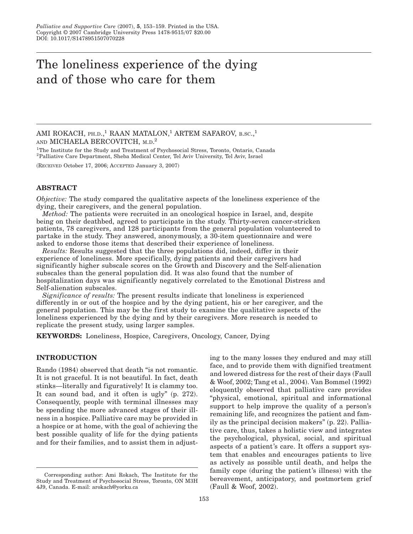# The loneliness experience of the dying and of those who care for them

AMI ROKACH, PH.D.,<sup>1</sup> RAAN MATALON,<sup>1</sup> ARTEM SAFAROV, B.SC.,<sup>1</sup> AND MICHAELA BERCOVITCH, M.D.<sup>2</sup>

1The Institute for the Study and Treatment of Psychosocial Stress, Toronto, Ontario, Canada 2Palliative Care Department, Sheba Medical Center, Tel Aviv University, Tel Aviv, Israel

~RECEIVED October 17, 2006; ACCEPTED January 3, 2007!

## **ABSTRACT**

*Objective:* The study compared the qualitative aspects of the loneliness experience of the dying, their caregivers, and the general population.

*Method:* The patients were recruited in an oncological hospice in Israel, and, despite being on their deathbed, agreed to participate in the study. Thirty-seven cancer-stricken patients, 78 caregivers, and 128 participants from the general population volunteered to partake in the study. They answered, anonymously, a 30-item questionnaire and were asked to endorse those items that described their experience of loneliness.

*Results:* Results suggested that the three populations did, indeed, differ in their experience of loneliness. More specifically, dying patients and their caregivers had significantly higher subscale scores on the Growth and Discovery and the Self-alienation subscales than the general population did. It was also found that the number of hospitalization days was significantly negatively correlated to the Emotional Distress and Self-alienation subscales.

*Significance of results:* The present results indicate that loneliness is experienced differently in or out of the hospice and by the dying patient, his or her caregiver, and the general population. This may be the first study to examine the qualitative aspects of the loneliness experienced by the dying and by their caregivers. More research is needed to replicate the present study, using larger samples.

**KEYWORDS:** Loneliness, Hospice, Caregivers, Oncology, Cancer, Dying

#### **INTRODUCTION**

Rando (1984) observed that death "is not romantic. It is not graceful. It is not beautiful. In fact, death stinks—literally and figuratively! It is clammy too. It can sound bad, and it often is ugly"  $(p. 272)$ . Consequently, people with terminal illnesses may be spending the more advanced stages of their illness in a hospice. Palliative care may be provided in a hospice or at home, with the goal of achieving the best possible quality of life for the dying patients and for their families, and to assist them in adjusting to the many losses they endured and may still face, and to provide them with dignified treatment and lowered distress for the rest of their days (Faull & Woof, 2002; Tang et al., 2004). Van Bommel (1992) eloquently observed that palliative care provides "physical, emotional, spiritual and informational support to help improve the quality of a person's remaining life, and recognizes the patient and family as the principal decision makers"  $(p. 22)$ . Palliative care, thus, takes a holistic view and integrates the psychological, physical, social, and spiritual aspects of a patient's care. It offers a support system that enables and encourages patients to live as actively as possible until death, and helps the family cope (during the patient's illness) with the bereavement, anticipatory, and postmortem grief (Faull & Woof, 2002).

Corresponding author: Ami Rokach, The Institute for the Study and Treatment of Psychosocial Stress, Toronto, ON M3H 4J9, Canada. E-mail: arokach@yorku.ca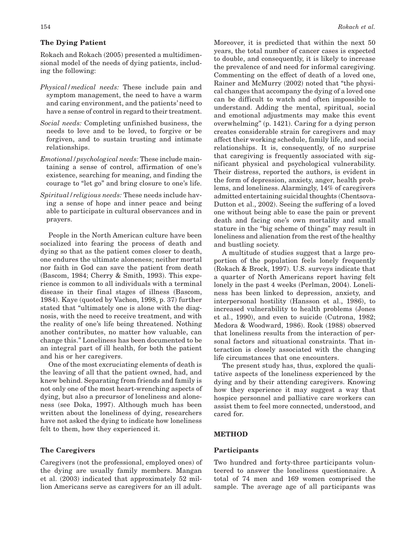## **The Dying Patient**

 $Rokach$  and  $Rokach$   $(2005)$  presented a multidimensional model of the needs of dying patients, including the following:

- *Physical/medical needs:* These include pain and symptom management, the need to have a warm and caring environment, and the patients' need to have a sense of control in regard to their treatment.
- *Social needs:* Completing unfinished business, the needs to love and to be loved, to forgive or be forgiven, and to sustain trusting and intimate relationships.
- *Emotional/psychological needs:* These include maintaining a sense of control, affirmation of one's existence, searching for meaning, and finding the courage to "let go" and bring closure to one's life.
- *Spiritual/religious needs:* These needs include having a sense of hope and inner peace and being able to participate in cultural observances and in prayers.

People in the North American culture have been socialized into fearing the process of death and dying so that as the patient comes closer to death, one endures the ultimate aloneness; neither mortal nor faith in God can save the patient from death  $(Bascom, 1984; Cherry & Smith, 1993).$  This experience is common to all individuals with a terminal disease in their final stages of illness (Bascom, 1984). Kaye (quoted by Vachon, 1998, p. 37) further stated that "ultimately one is alone with the diagnosis, with the need to receive treatment, and with the reality of one's life being threatened. Nothing another contributes, no matter how valuable, can change this." Loneliness has been documented to be an integral part of ill health, for both the patient and his or her caregivers.

One of the most excruciating elements of death is the leaving of all that the patient owned, had, and knew behind. Separating from friends and family is not only one of the most heart-wrenching aspects of dying, but also a precursor of loneliness and aloneness (see Doka, 1997). Although much has been written about the loneliness of dying, researchers have not asked the dying to indicate how loneliness felt to them, how they experienced it.

## **The Caregivers**

Caregivers (not the professional, employed ones) of the dying are usually family members. Mangan et al.  $(2003)$  indicated that approximately 52 million Americans serve as caregivers for an ill adult.

Moreover, it is predicted that within the next 50 years, the total number of cancer cases is expected to double, and consequently, it is likely to increase the prevalence of and need for informal caregiving. Commenting on the effect of death of a loved one, Rainer and McMurry  $(2002)$  noted that "the physical changes that accompany the dying of a loved one can be difficult to watch and often impossible to understand. Adding the mental, spiritual, social and emotional adjustments may make this event overwhelming"  $(p. 1421)$ . Caring for a dying person creates considerable strain for caregivers and may affect their working schedule, family life, and social relationships. It is, consequently, of no surprise that caregiving is frequently associated with significant physical and psychological vulnerability. Their distress, reported the authors, is evident in the form of depression, anxiety, anger, health problems, and loneliness. Alarmingly, 14% of caregivers admitted entertaining suicidal thoughts (Chentsova-Dutton et al., 2002). Seeing the suffering of a loved one without being able to ease the pain or prevent death and facing one's own mortality and small stature in the "big scheme of things" may result in loneliness and alienation from the rest of the healthy and bustling society.

A multitude of studies suggest that a large proportion of the population feels lonely frequently  $(Rokach & Brock, 1997)$ . U.S. surveys indicate that a quarter of North Americans report having felt lonely in the past 4 weeks (Perlman, 2004). Loneliness has been linked to depression, anxiety, and interpersonal hostility (Hansson et al., 1986), to increased vulnerability to health problems (Jones et al., 1990), and even to suicide  $(Cutrona, 1982;$ Medora & Woodward, 1986). Rook (1988) observed that loneliness results from the interaction of personal factors and situational constraints. That interaction is closely associated with the changing life circumstances that one encounters.

The present study has, thus, explored the qualitative aspects of the loneliness experienced by the dying and by their attending caregivers. Knowing how they experience it may suggest a way that hospice personnel and palliative care workers can assist them to feel more connected, understood, and cared for.

#### **METHOD**

#### **Participants**

Two hundred and forty-three participants volunteered to answer the loneliness questionnaire. A total of 74 men and 169 women comprised the sample. The average age of all participants was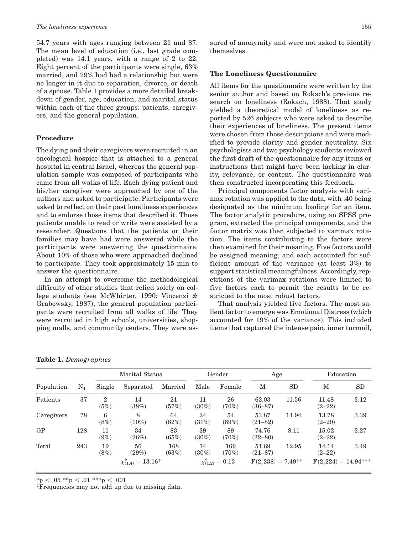54.7 years with ages ranging between 21 and 87. The mean level of education (i.e., last grade completed) was  $14.1$  years, with a range of 2 to  $22$ . Eight percent of the participants were single, 63% married, and 29% had had a relationship but were no longer in it due to separation, divorce, or death of a spouse. Table 1 provides a more detailed breakdown of gender, age, education, and marital status within each of the three groups: patients, caregivers, and the general population.

## **Procedure**

The dying and their caregivers were recruited in an oncological hospice that is attached to a general hospital in central Israel, whereas the general population sample was composed of participants who came from all walks of life. Each dying patient and his/her caregiver were approached by one of the authors and asked to participate. Participants were asked to ref lect on their past loneliness experiences and to endorse those items that described it. Those patients unable to read or write were assisted by a researcher. Questions that the patients or their families may have had were answered while the participants were answering the questionnaire. About 10% of those who were approached declined to participate. They took approximately 15 min to answer the questionnaire.

In an attempt to overcome the methodological difficulty of other studies that relied solely on college students (see McWhirter, 1990; Vincenzi & Grabowsky, 1987), the general population participants were recruited from all walks of life. They were recruited in high schools, universities, shopping malls, and community centers. They were as-

#### **The Loneliness Questionnaire**

All items for the questionnaire were written by the senior author and based on Rokach's previous research on loneliness (Rokach, 1988). That study yielded a theoretical model of loneliness as reported by 526 subjects who were asked to describe their experiences of loneliness. The present items were chosen from those descriptions and were modified to provide clarity and gender neutrality. Six psychologists and two psychology students reviewed the first draft of the questionnaire for any items or instructions that might have been lacking in clarity, relevance, or content. The questionnaire was then constructed incorporating this feedback.

Principal components factor analysis with varimax rotation was applied to the data, with .40 being designated as the minimum loading for an item. The factor analytic procedure, using an SPSS program, extracted the principal components, and the factor matrix was then subjected to varimax rotation. The items contributing to the factors were then examined for their meaning. Five factors could be assigned meaning, and each accounted for sufficient amount of the variance (at least  $3\%$ ) to support statistical meaningfulness. Accordingly, repetitions of the varimax rotations were limited to five factors each to permit the results to be restricted to the most robust factors.

That analysis yielded five factors. The most salient factor to emerge was Emotional Distress (which accounted for 19% of the variance). This included items that captured the intense pain, inner turmoil,

| Population | $\rm N_1$ | <b>Marital Status</b>  |                            |              | Gender           |                | Age                  |           | Education             |           |
|------------|-----------|------------------------|----------------------------|--------------|------------------|----------------|----------------------|-----------|-----------------------|-----------|
|            |           | Single                 | Separated                  | Married      | Male             | Female         | М                    | <b>SD</b> | M                     | <b>SD</b> |
| Patients   | 37        | $\overline{2}$<br>(5%) | 14<br>(38%)                | 21<br>(57%)  | 11<br>$(30\%)$   | 26<br>$(70\%)$ | 62.03<br>$(36 - 87)$ | 11.56     | 11.48<br>$(2-22)$     | 3.12      |
| Caregivers | 78        | 6<br>(8%)              | 8<br>$(10\%)$              | 64<br>(82%)  | 24<br>(31%)      | 54<br>(69%)    | 53.87<br>$(21 - 82)$ | 14.94     | 13.78<br>$(2 - 20)$   | 3.39      |
| GP         | 128       | 11<br>$(9\%)$          | 34<br>(26%)                | 83<br>(65%)  | 39<br>$(30\%)$   | 89<br>$(70\%)$ | 74.76<br>$(22 - 80)$ | 8.11      | 15.02<br>$(2-22)$     | 3.27      |
| Total      | 243       | 19<br>(8%)             | 56<br>(29%)                | 168<br>(63%) | 74<br>$(30\%)$   | 169<br>(70%)   | 54.69<br>$(21 - 87)$ | 12.95     | 14.14<br>$(2 - 22)$   | 3.49      |
|            |           |                        | $\chi_{(1,4)}^2 = 13.16^*$ |              | $\chi^2_{(1,2)}$ | $= 0.13$       | $F(2,238) = 7.49**$  |           | $F(2,224) = 14.94***$ |           |

|  |  | <b>Table 1.</b> Demographics |  |
|--|--|------------------------------|--|
|--|--|------------------------------|--|

 $*{\rm p} < .05 **{\rm p} < .01 **{\rm p} < .001$ <br><sup>1</sup>Frequencies may not add up due to missing data.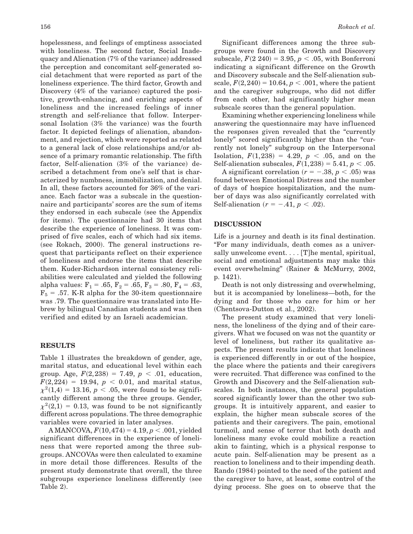hopelessness, and feelings of emptiness associated with loneliness. The second factor, Social Inadequacy and Alienation  $(7%$  of the variance) addressed the perception and concomitant self-generated social detachment that were reported as part of the loneliness experience. The third factor, Growth and Discovery  $(4\%$  of the variance) captured the positive, growth-enhancing, and enriching aspects of loneliness and the increased feelings of inner strength and self-reliance that follow. Interpersonal Isolation  $(3%$  the variance) was the fourth factor. It depicted feelings of alienation, abandonment, and rejection, which were reported as related to a general lack of close relationships and/or absence of a primary romantic relationship. The fifth factor, Self-alienation  $(3%$  of the variance) described a detachment from one's self that is characterized by numbness, immobilization, and denial. In all, these factors accounted for 36% of the variance. Each factor was a subscale in the questionnaire and participants' scores are the sum of items they endorsed in each subscale (see the Appendix for items). The questionnaire had 30 items that describe the experience of loneliness. It was comprised of five scales, each of which had six items.  $(see Rokach, 2000)$ . The general instructions request that participants reflect on their experience of loneliness and endorse the items that describe them. Kuder-Richardson internal consistency reliabilities were calculated and yielded the following alpha values:  $F_1 = .65, F_2 = .65, F_3 = .80, F_4 = .63,$  $F_5 = .57$ . K-R alpha for the 30-item questionnaire was .79. The questionnaire was translated into Hebrew by bilingual Canadian students and was then verified and edited by an Israeli academician.

## **RESULTS**

Table 1 illustrates the breakdown of gender, age, marital status, and educational level within each group. Age,  $F(2,238) = 7.49, p < .01,$  education,  $F(2,224) = 19.94, p < 0.01,$  and marital status,  $\chi^2(1,4) = 13.16, p < .05$ , were found to be significantly different among the three groups. Gender,  $\chi^2(2,1) = 0.13$ , was found to be not significantly different across populations. The three demographic variables were covaried in later analyses.

A MANCOVA,  $F(10,474) = 4.19, p < .001$ , yielded significant differences in the experience of loneliness that were reported among the three subgroups. ANCOVAs were then calculated to examine in more detail those differences. Results of the present study demonstrate that overall, the three subgroups experience loneliness differently (see Table 2).

Significant differences among the three subgroups were found in the Growth and Discovery subscale,  $F(2\,240) = 3.95, p < .05$ , with Bonferroni indicating a significant difference on the Growth and Discovery subscale and the Self-alienation subscale,  $F(2,240) = 10.64$ ,  $p < .001$ , where the patient and the caregiver subgroups, who did not differ from each other, had significantly higher mean subscale scores than the general population.

Examining whether experiencing loneliness while answering the questionnaire may have influenced the responses given revealed that the "currently lonely" scored significantly higher than the "currently not lonely" subgroup on the Interpersonal Isolation,  $F(1,238) = 4.29$ ,  $p < .05$ , and on the Self-alienation subscales,  $F(1,238) = 5.41, p < .05$ .

A significant correlation ( $r = -.38, p < .05$ ) was found between Emotional Distress and the number of days of hospice hospitalization, and the number of days was also significantly correlated with Self-alienation ( $r = -.41, p < .02$ ).

#### **DISCUSSION**

Life is a journey and death is its final destination. "For many individuals, death comes as a universally unwelcome event....  $[T]$ he mental, spiritual, social and emotional adjustments may make this event overwhelming" (Rainer & McMurry, 2002, p. 1421).

Death is not only distressing and overwhelming, but it is accompanied by loneliness—both, for the dying and for those who care for him or her  $(Chentsova-Dutton et al., 2002).$ 

The present study examined that very loneliness, the loneliness of the dying and of their caregivers. What we focused on was not the quantity or level of loneliness, but rather its qualitative aspects. The present results indicate that loneliness is experienced differently in or out of the hospice, the place where the patients and their caregivers were recruited. That difference was confined to the Growth and Discovery and the Self-alienation subscales. In both instances, the general population scored significantly lower than the other two subgroups. It is intuitively apparent, and easier to explain, the higher mean subscale scores of the patients and their caregivers. The pain, emotional turmoil, and sense of terror that both death and loneliness many evoke could mobilize a reaction akin to fainting, which is a physical response to acute pain. Self-alienation may be present as a reaction to loneliness and to their impending death. Rando (1984) pointed to the need of the patient and the caregiver to have, at least, some control of the dying process. She goes on to observe that the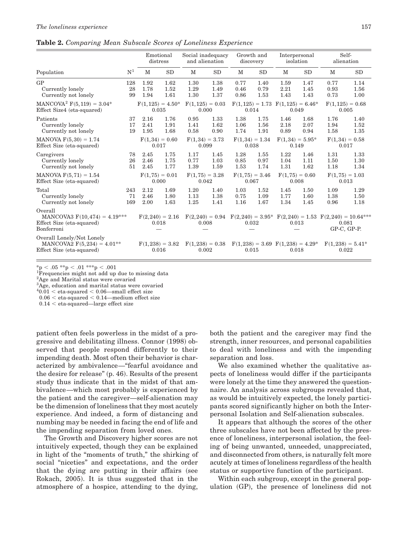| <b>Table 2.</b> Comparing Mean Subscale Scores of Loneliness Experience |  |  |  |
|-------------------------------------------------------------------------|--|--|--|
|-------------------------------------------------------------------------|--|--|--|

|                                                                                        |                | Emotional                  |                              | Social inadequacy          |                             | Growth and       |                           | Interpersonal                                  |                           | Self-                                                                                                    |                            |
|----------------------------------------------------------------------------------------|----------------|----------------------------|------------------------------|----------------------------|-----------------------------|------------------|---------------------------|------------------------------------------------|---------------------------|----------------------------------------------------------------------------------------------------------|----------------------------|
|                                                                                        |                | distress                   |                              | and alienation             |                             | discovery        |                           | isolation                                      |                           | alienation                                                                                               |                            |
| Population                                                                             | $\mathrm{N}^1$ | М                          | <b>SD</b>                    | М                          | <b>SD</b>                   | М                | SD                        | М                                              | <b>SD</b>                 | М                                                                                                        | <b>SD</b>                  |
| GP                                                                                     | 128            | 1.92                       | 1.62                         | 1.30                       | 1.38                        | 0.77             | 1.40                      | 1.59                                           | 1.47                      | 0.77                                                                                                     | 1.14                       |
| Currently lonely                                                                       | 28             | 1.78                       | 1.52                         | 1.29                       | 1.49                        | 0.46             | 0.79                      | 2.21                                           | 1.45                      | 0.93                                                                                                     | 1.56                       |
| Currently not lonely                                                                   | 99             | 1.94                       | 1.61                         | 1.30                       | 1.37                        | 0.86             | 1.53                      | 1.43                                           | 1.43                      | 0.73                                                                                                     | 1.00                       |
| MANCOVA <sup>2</sup> $F(5,119) = 3.04*$<br>Effect Size4 (eta-squared)                  |                |                            | $F(1, 125) = 4.50*$<br>0.035 |                            | $F(1, 125) = 0.03$<br>0.000 |                  | 0.014                     | $F(1,125) = 1.73$ $F(1,125) = 6.46*$<br>0.049  |                           |                                                                                                          | $F(1,125) = 0.68$<br>0.005 |
| Patients                                                                               | 37             | 2.16                       | 1.76                         | 0.95                       | 1.33                        | 1.38             | 1.75                      | 1.46                                           | 1.68                      | 1.76                                                                                                     | 1.40                       |
| Currently lonely                                                                       | 17             | 2.41                       | 1.91                         | 1.41                       | 1.62                        | 1.06             | 1.56                      | 2.18                                           | 2.07                      | 1.94                                                                                                     | 1.52                       |
| Currently not lonely                                                                   | 19             | 1.95                       | 1.68                         | 0.58                       | 0.90                        | 1.74             | 1.91                      | 0.89                                           | 0.94                      | 1.58                                                                                                     | 1.35                       |
| MANOVA $F(5,30) = 1.74$                                                                |                | $F(1,34) = 0.60$           |                              | $F(1,34) = 3.73$           |                             | $F(1,34) = 1.34$ |                           | $F(1,34) = 5.95*$                              |                           | $F(1,34) = 0.58$                                                                                         |                            |
| Effect Size (eta-squared)                                                              |                | 0.017                      |                              | 0.099                      |                             | 0.038            |                           | 0.149                                          |                           | 0.017                                                                                                    |                            |
| Caregivers                                                                             | 78             | 2.45                       | 1.75                         | 1.17                       | 1.45                        | 1.28             | 1.55                      | 1.22                                           | 1.46                      | 1.31                                                                                                     | 1.33                       |
| Currently lonely                                                                       | 26             | 2.46                       | 1.75                         | 0.77                       | 1.03                        | 0.85             | 0.97                      | 1.04                                           | 1.11                      | 1.50                                                                                                     | 1.30                       |
| Currently not lonely                                                                   | 51             | 2.45                       | 1.77                         | 1.39                       | 1.59                        | 1.53             | 1.74                      | 1.31                                           | 1.62                      | 1.18                                                                                                     | 1.34                       |
| MANOVA $F(5,71) = 1.54$<br>Effect Size (eta-squared)                                   |                |                            | $F(1,75) = 0.01$<br>0.000    |                            | $F(1,75) = 3.28$<br>0.042   |                  | $F(1,75) = 3.46$<br>0.067 |                                                | $F(1,75) = 0.60$<br>0.008 |                                                                                                          | $F(1,75) = 1.03$<br>0.013  |
| Total                                                                                  | 243            | 2.12                       | 1.69                         | 1.20                       | 1.40                        | 1.03             | 1.52                      | 1.45                                           | 1.50                      | 1.09                                                                                                     | 1.29                       |
| Currently lonely                                                                       | 71             | 2.46                       | 1.80                         | 1.13                       | 1.38                        | 0.75             | 1.09                      | 1.77                                           | 1.60                      | 1.38                                                                                                     | 1.50                       |
| Currently not lonely                                                                   | 169            | 2.00                       | 1.63                         | 1.25                       | 1.41                        | 1.16             | 1.67                      | 1.34                                           | 1.45                      | 0.96                                                                                                     | 1.18                       |
| Overall<br>MANCOVA3 $F(10, 474) = 4.19***$<br>Effect Size (eta-squared)<br>Bonferroni  |                | $F(2,240) = 2.16$<br>0.018 |                              | 0.008                      |                             | 0.032            |                           | 0.013                                          |                           | $F(2,240) = 0.94$ $F(2,240) = 3.95^*$ $F(2,240) = 1.53$ $F(2,240) = 10.64^{***}$<br>0.081<br>GP-C, GP-P. |                            |
| Overall Lonely/Not Lonely<br>MANCOVA2 $F(5,234) = 4.01**$<br>Effect Size (eta-squared) |                | $F(1,238) = 3.82$<br>0.016 |                              | $F(1,238) = 0.38$<br>0.002 |                             | 0.015            |                           | $F(1,238) = 3.69$ $F(1,238) = 4.29$ *<br>0.018 |                           | $F(1,238) = 5.41*$<br>0.022                                                                              |                            |

 $*_{\rm p}$  < .05 \*\*p < .01 \*\*\*p < .001<br><sup>1</sup>Frequencies might not add up due to missing data

<sup>2</sup>Age and Marital status were covaried

3Age, education and marital status were covaried

 $40.01 <$  eta-squared  $< 0.06$ —small effect size

 $0.06 < \text{eta-squared} < 0.14$ —medium effect size

 $0.14 <$  eta-squared—large effect size

patient often feels powerless in the midst of a progressive and debilitating illness. Connor (1998) observed that people respond differently to their impending death. Most often their behavior is characterized by ambivalence—"fearful avoidance and the desire for release"  $(p. 46)$ . Results of the present study thus indicate that in the midst of that ambivalence—which most probably is experienced by the patient and the caregiver—self-alienation may be the dimension of loneliness that they most acutely experience. And indeed, a form of distancing and numbing may be needed in facing the end of life and the impending separation from loved ones.

The Growth and Discovery higher scores are not intuitively expected, though they can be explained in light of the "moments of truth," the shirking of social "niceties" and expectations, and the order that the dying are putting in their affairs (see Rokach,  $2005$ ). It is thus suggested that in the atmosphere of a hospice, attending to the dying, both the patient and the caregiver may find the strength, inner resources, and personal capabilities to deal with loneliness and with the impending separation and loss.

We also examined whether the qualitative aspects of loneliness would differ if the participants were lonely at the time they answered the questionnaire. An analysis across subgroups revealed that, as would be intuitively expected, the lonely participants scored significantly higher on both the Interpersonal Isolation and Self-alienation subscales.

It appears that although the scores of the other three subscales have not been affected by the presence of loneliness, interpersonal isolation, the feeling of being unwanted, unneeded, unappreciated, and disconnected from others, is naturally felt more acutely at times of loneliness regardless of the health status or supportive function of the participant.

Within each subgroup, except in the general population  $(GP)$ , the presence of loneliness did not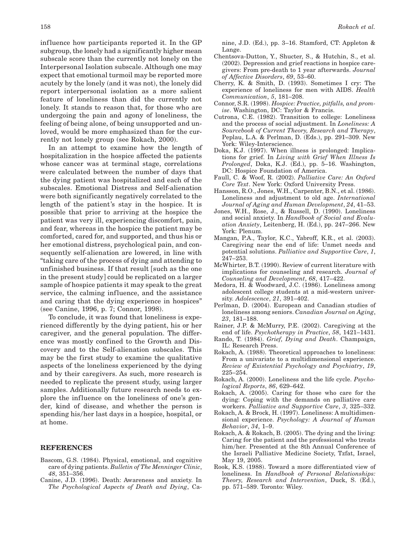inf luence how participants reported it. In the GP subgroup, the lonely had a significantly higher mean subscale score than the currently not lonely on the Interpersonal Isolation subscale. Although one may expect that emotional turmoil may be reported more acutely by the lonely (and it was not), the lonely did report interpersonal isolation as a more salient feature of loneliness than did the currently not lonely. It stands to reason that, for those who are undergoing the pain and agony of loneliness, the feeling of being alone, of being unsupported and unloved, would be more emphasized than for the currently not lonely group (see Rokach, 2000).

In an attempt to examine how the length of hospitalization in the hospice affected the patients whose cancer was at terminal stage, correlations were calculated between the number of days that the dying patient was hospitalized and each of the subscales. Emotional Distress and Self-alienation were both significantly negatively correlated to the length of the patient's stay in the hospice. It is possible that prior to arriving at the hospice the patient was very ill, experiencing discomfort, pain, and fear, whereas in the hospice the patient may be comforted, cared for, and supported, and thus his or her emotional distress, psychological pain, and consequently self-alienation are lowered, in line with "taking care of the process of dying and attending to unfinished business. If that result  $\lceil \text{such as the one} \rceil$ in the present study could be replicated on a larger sample of hospice patients it may speak to the great service, the calming influence, and the assistance and caring that the dying experience in hospices" (see Canine, 1996, p. 7; Connor, 1998).

To conclude, it was found that loneliness is experienced differently by the dying patient, his or her caregiver, and the general population. The difference was mostly confined to the Growth and Discovery and to the Self-alienation subscales. This may be the first study to examine the qualitative aspects of the loneliness experienced by the dying and by their caregivers. As such, more research is needed to replicate the present study, using larger samples. Additionally future research needs to explore the influence on the loneliness of one's gender, kind of disease, and whether the person is spending his/her last days in a hospice, hospital, or at home.

#### **REFERENCES**

- Bascom, G.S. (1984). Physical, emotional, and cognitive care of dying patients. *Bulletin of The Menninger Clinic*, *48*, 351–356.
- Canine, J.D.  $(1996)$ . Death: Awareness and anxiety. In *The Psychological Aspects of Death and Dying*, Ca-

nine, J.D. (Ed.), pp. 3–16. Stamford, CT: Appleton  $\&$ Lange.

- Chentsova-Dutton, Y., Shucter, S., & Hutchin, S., et al.  $(2002)$ . Depression and grief reactions in hospice caregivers: From pre-death to 1 year afterwards. *Journal of Affective Disorders*, *69*, 53–60.
- Cherry, K. & Smith, D.  $(1993)$ . Sometimes I cry: The experience of loneliness for men with AIDS. *Health Communication*, *5*, 181–208.
- Connor, S.R. (1998). *Hospice: Practice, pitfalls, and promise*. Washington, DC: Taylor & Francis.
- Cutrona, C.E. (1982). Transition to college: Loneliness and the process of social adjustment. In *Loneliness: A Sourcebook of Current Theory, Research and Therapy*, Peplau, L.A. & Perlman, D. (Eds.), pp. 291–309. New York: Wiley-Interscience.
- Doka, K.J. (1997). When illness is prolonged: Implications for grief. In *Living with Grief When Illness Is* Prolonged, Doka, K.J. (Ed.), pp. 5-16. Washington, DC: Hospice Foundation of America.
- Faull, C. & Woof, R. (2002). *Palliative Care: An Oxford Core Text*. New York: Oxford University Press.
- Hansson, R.O., Jones, W.H., Carpenter, B.N., et al. (1986). Loneliness and adjustment to old age. *International Journal of Aging and Human Development*, *24*, 41–53.
- Jones, W.H., Rose, J., & Russell, D. (1990). Loneliness and social anxiety. In *Handbook of Social and Evaluation Anxiety*, Leitenberg, H. (Ed.), pp. 247–266. New York: Plenum.
- Mangan, P.A., Taylor, K.C., Yabroff, K.R., et al. (2003). Caregiving near the end of life: Unmet needs and potential solutions. *Palliative and Supportive Care*, *1*, 247–253.
- McWhirter, B.T. (1990). Review of current literature with implications for counseling and research. *Journal of Counseling and Development*, *68*, 417–422.
- Medora, H. & Woodward, J.C. (1986). Loneliness among adolescent college students at a mid-western university. *Adolescence*, *21*, 391–402.
- Perlman, D. (2004). European and Canadian studies of loneliness among seniors. *Canadian Journal on Aging*, *23*, 181–188.
- Rainer, J.P. & McMurry, P.E. (2002). Caregiving at the end of life. *Psychotherapy in Practice*, *58*, 1421–1431.
- Rando, T. (1984). *Grief, Dying and Death*. Champaign, IL: Research Press.
- Rokach, A. (1988). Theoretical approaches to loneliness: From a univariate to a multidimensional experience. *Review of Existential Psychology and Psychiatry*, *19*, 225–254.
- Rokach, A. (2000). Loneliness and the life cycle. *Psychological Reports*, *86*, 629–642.
- Rokach, A.  $(2005)$ . Caring for those who care for the dying: Coping with the demands on palliative care workers. *Palliative and Supportive Care*, *3*, 325–332.
- Rokach, A. & Brock, H. (1997). Loneliness: A multidimensional experience. *Psychology: A Journal of Human Behavior*, *34*, 1–9.
- Rokach, A. & Rokach, B. (2005). The dying and the living: Caring for the patient and the professional who treats him/her. Presented at the 8th Annual Conference of the Israeli Palliative Medicine Society, Tzfat, Israel, May 19, 2005.
- Rook, K.S. (1988). Toward a more differentiated view of loneliness. In *Handbook of Personal Relationships: Theory, Research and Intervention, Duck, S. (Ed.),* pp. 571–589. Toronto: Wiley.